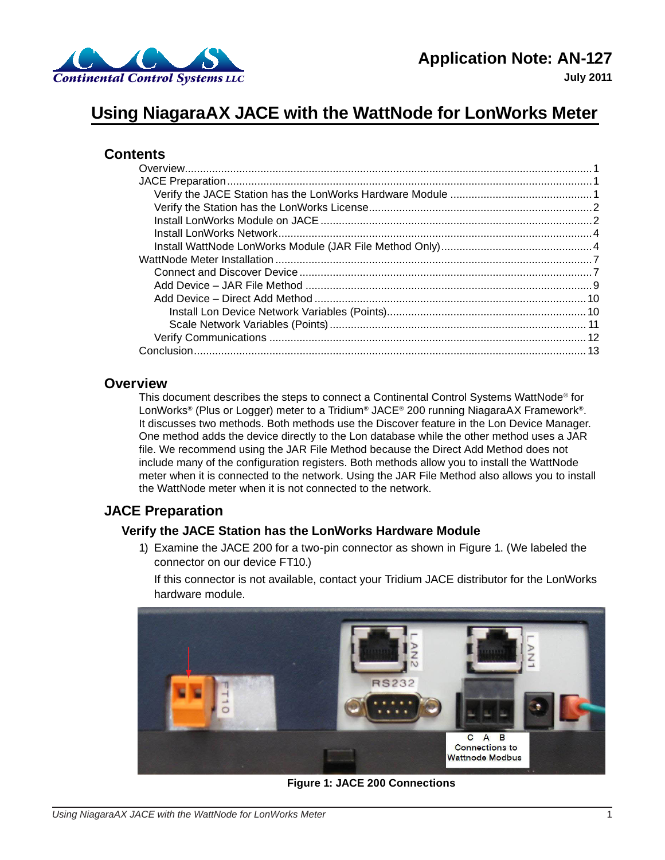

**July 2011**

# **Using NiagaraAX JACE with the WattNode for LonWorks Meter**

# **Contents**

# **Overview**

<span id="page-0-1"></span>This document describes the steps to connect a Continental Control Systems WattNode<sup>®</sup> for LonWorks® (Plus or Logger) meter to a Tridium® JACE® 200 running NiagaraAX Framework®. It discusses two methods. Both methods use the Discover feature in the Lon Device Manager. One method adds the device directly to the Lon database while the other method uses a JAR file. We recommend using the JAR File Method because the Direct Add Method does not include many of the configuration registers. Both methods allow you to install the WattNode meter when it is connected to the network. Using the JAR File Method also allows you to install the WattNode meter when it is not connected to the network.

# **JACE Preparation**

# **Verify the JACE Station has the LonWorks Hardware Module**

1) Examine the JACE 200 for a two-pin connector as shown in [Figure 1.](#page-0-0) (We labeled the connector on our device FT10.)

<span id="page-0-0"></span>If this connector is not available, contact your Tridium JACE distributor for the LonWorks hardware module.



**Figure 1: JACE 200 Connections**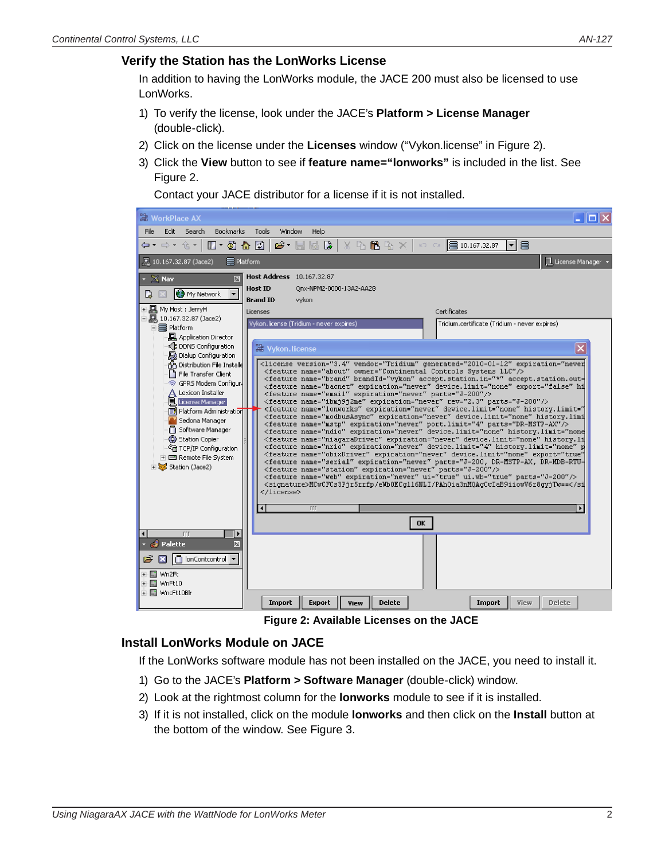# <span id="page-1-0"></span>**Verify the Station has the LonWorks License**

In addition to having the LonWorks module, the JACE 200 must also be licensed to use LonWorks.

- 1) To verify the license, look under the JACE's **Platform > License Manager** (double-click).
- 2) Click on the license under the **Licenses** window ("Vykon.license" in [Figure 2](#page-1-1)).
- 3) Click the **View** button to see if **feature name="lonworks"** is included in the list. See [Figure 2](#page-1-1).

Contact your JACE distributor for a license if it is not installed.



**Figure 2: Available Licenses on the JACE**

### **Install LonWorks Module on JACE**

<span id="page-1-1"></span>If the LonWorks software module has not been installed on the JACE, you need to install it.

- 1) Go to the JACE's **Platform > Software Manager** (double-click) window.
- 2) Look at the rightmost column for the **lonworks** module to see if it is installed.
- 3) If it is not installed, click on the module **lonworks** and then click on the **Install** button at the bottom of the window. See [Figure 3](#page-2-0).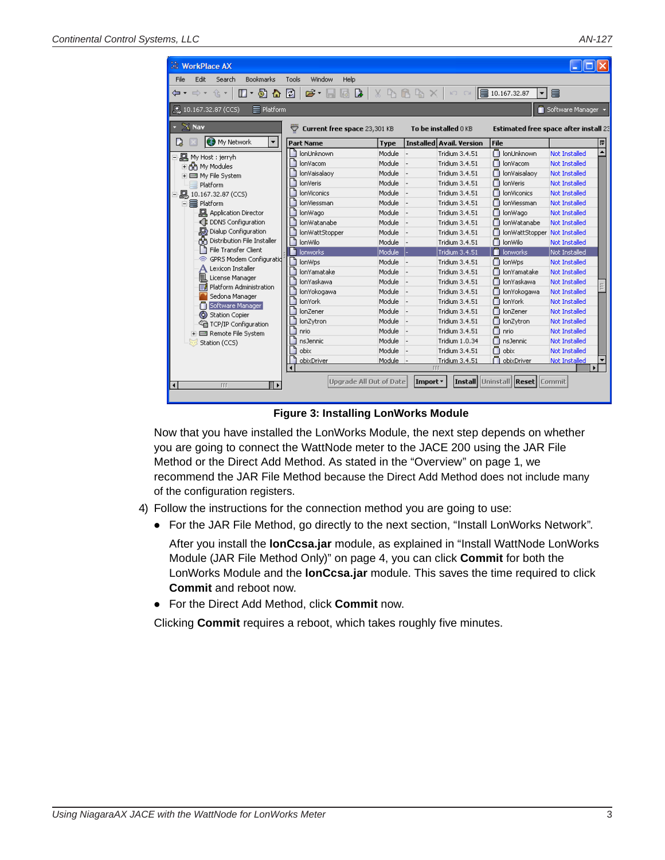**WorkPlace AX** File Edit Search **⇔ -** ⇒ - ≙ -■ 10.167.32.87 (CO  $\times$  Nav

Station (CCS)

| s. LLC                                                        |                                                     |             |                                 |                                               |                      | AN-127 |
|---------------------------------------------------------------|-----------------------------------------------------|-------------|---------------------------------|-----------------------------------------------|----------------------|--------|
|                                                               |                                                     |             |                                 |                                               |                      |        |
| <b>WorkPlace AX</b>                                           |                                                     |             |                                 |                                               |                      |        |
| Edit<br>File<br>Search<br><b>Bookmarks</b>                    | Window<br>Help<br>Tools                             |             |                                 |                                               |                      |        |
| $\Box$ + $\Box$ & $\Box$<br>仓土<br>$\Rightarrow$ $\rightarrow$ | ⊯ੇ ਵਿੱ<br>$\triangleright$<br>尉                     | L۳          | ĥ.<br>t.                        | ■10.167.32.87<br>▼                            | a                    |        |
|                                                               |                                                     |             |                                 |                                               |                      |        |
| $\equiv$ Platform<br>■ 10.167.32.87 (CCS)                     |                                                     |             |                                 |                                               | Software Manager     |        |
| $\times$ Nav                                                  |                                                     |             |                                 |                                               |                      |        |
|                                                               | Current free space 23,301 KB<br>$\overline{\nabla}$ |             | To be installed 0 KB            | Estimated free space after install $2\bar{z}$ |                      |        |
| <sup>O</sup> My Network<br>$\blacktriangledown$<br>D          | <b>Part Name</b>                                    | <b>Type</b> | <b>Installed Avail. Version</b> | <b>File</b>                                   |                      | 即      |
| 四 My Host : jerryh                                            | lonUnknown                                          | Module      | <b>Tridium 3.4.51</b>           | n lonUnknown                                  | Not Installed        |        |
| 王帝 My Modules                                                 | lonVacom                                            | Module      | <b>Tridium 3.4.51</b>           | nonVacom                                      | <b>Not Installed</b> |        |
| □ ■ My File System                                            | lonVaisalaoy                                        | Module      | Tridium 3.4.51                  | O lonVaisalaoy                                | <b>Not Installed</b> |        |
| Platform                                                      | lonVeris                                            | Module      | Tridium 3.4.51                  | n lonVeris                                    | Not Installed        |        |
| -  10.167.32.87 (CCS)                                         | <b>lonViconics</b>                                  | Module      | Tridium 3.4.51                  | <b>lonViconics</b>                            | Not Installed        |        |
| 白霉 Platform                                                   | lonViessman                                         | Module      | Tridium 3.4.51                  | lonViessman                                   | Not Installed        |        |
| <b>回</b> Application Director                                 | lonWago                                             | Module      | <b>Tridium 3.4.51</b>           | o<br>lonWago                                  | <b>Not Installed</b> |        |
| ← B DDNS Configuration                                        | lonWatanabe                                         | Module      | Tridium 3.4.51                  | lonWatanabe                                   | <b>Not Installed</b> |        |
| Dialup Configuration                                          | lonWattStopper                                      | Module      | <b>Tridium 3.4.51</b>           | lonWattStopper                                | Not Installed        |        |
| Distribution File Installer<br>കി                             | lonWilo                                             | Module      | Tridium 3.4.51                  | n lonWilo                                     | Not Installed        |        |
| File Transfer Client                                          | lonworks                                            | Module      | Tridium 3.4.51                  | lonworks                                      | Not Installed        |        |
| GPRS Modem Configuratid<br>ଛ                                  | lonWps                                              | Module      | <b>Tridium 3.4.51</b>           | n lonWps                                      | Not Installed        |        |
| Lexicon Installer                                             | lonYamatake                                         | Module      | Tridium 3.4.51                  | n lonYamatake                                 | <b>Not Installed</b> |        |
| 凬<br>License Manager                                          | lonYaskawa                                          | Module      | Tridium 3.4.51                  | ∩<br>lonYaskawa                               | <b>Not Installed</b> |        |
| Platform Administration<br>動                                  | lonYokogawa                                         | Module      | Tridium 3.4.51                  | lonYokogawa                                   | <b>Not Installed</b> |        |
| Sedona Manager                                                | lonYork                                             | Module      | <b>Tridium 3.4.51</b>           | ∩<br>lonYork                                  | Not Installed        |        |
| Software Manager                                              | lonZener                                            | Module      | <b>Tridium 3.4.51</b>           | n lonZener                                    | <b>Not Installed</b> |        |
| (6) Station Copier                                            | lonZytron                                           | Module      | Tridium 3.4.51                  | n lonZytron                                   | <b>Not Installed</b> |        |
| <sup>्</sup> ति TCP/IP Configuration<br>⊞ Remote File System  | nrio                                                | Module      | Tridium 3.4.51                  | nrio                                          | <b>Not Installed</b> |        |
|                                                               |                                                     |             |                                 |                                               |                      |        |

 $\Box$  nsJennic

obixDriver

 $\bigcap$  obix

**Install Uninstall Reset** 

Not Installed

Not Installed

<mark>Not Installe</mark>

<span id="page-2-0"></span>Commit

Tridium 1.0.34

Tridium 3.4.51

Tridium 3.4.51

Import \*

**Figure 3: Installing LonWorks Module**

Upgrade All Out of Date

Module

Module

Module

Now that you have installed the LonWorks Module, the next step depends on whether you are going to connect the WattNode meter to the JACE 200 using the JAR File Method or the Direct Add Method. As stated in the ["Overview" on page 1,](#page-0-1) we recommend the JAR File Method because the Direct Add Method does not include many of the configuration registers.

4) Follow the instructions for the connection method you are going to use:

 $\Box$  nsJennic

obixDriver

 $\bigcap$  obix

⊪

● For the JAR File Method, go directly to the next section, ["Install LonWorks Network"](#page-3-1).

After you install the **lonCcsa.jar** module, as explained in ["Install WattNode LonWorks](#page-3-2)  [Module \(JAR File Method Only\)" on page 4,](#page-3-2) you can click **Commit** for both the LonWorks Module and the **lonCcsa.jar** module. This saves the time required to click **Commit** and reboot now.

● For the Direct Add Method, click **Commit** now.

Clicking **Commit** requires a reboot, which takes roughly five minutes.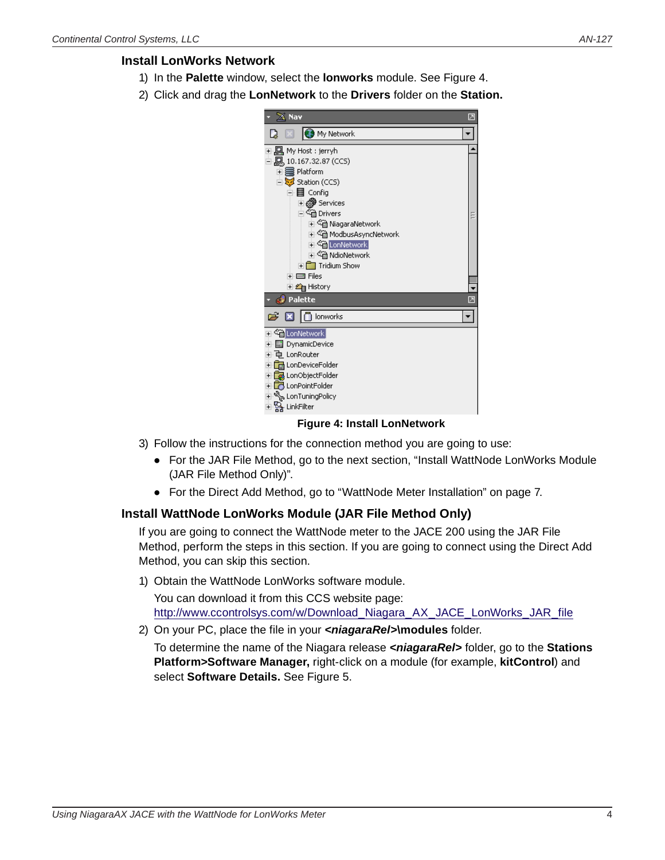# <span id="page-3-0"></span>**Install LonWorks Network**

- <span id="page-3-1"></span>1) In the **Palette** window, select the **lonworks** module. See [Figure 4.](#page-3-3)
- 2) Click and drag the **LonNetwork** to the **Drivers** folder on the **Station.**



#### <span id="page-3-3"></span>**Figure 4: Install LonNetwork**

- 3) Follow the instructions for the connection method you are going to use:
	- For the JAR File Method, go to the next section, "Install WattNode LonWorks Module [\(JAR File Method Only\)"](#page-3-2).
	- For the Direct Add Method, go to ["WattNode Meter Installation" on page 7.](#page-6-1)

## **Install WattNode LonWorks Module (JAR File Method Only)**

<span id="page-3-2"></span>If you are going to connect the WattNode meter to the JACE 200 using the JAR File Method, perform the steps in this section. If you are going to connect using the Direct Add Method, you can skip this section.

1) Obtain the WattNode LonWorks software module.

You can download it from this CCS website page: [http://www.ccontrolsys.com/w/Download\\_Niagara\\_AX\\_JACE\\_LonWorks\\_JAR\\_file](http://www.ccontrolsys.com/w/Download_Niagara_AX_JACE_LonWorks_JAR_file)

2) On your PC, place the file in your *<niagaraRel>***\modules** folder.

To determine the name of the Niagara release *<niagaraRel>* folder, go to the **Stations Platform>Software Manager,** right-click on a module (for example, **kitControl**) and select **Software Details.** See [Figure 5](#page-4-0).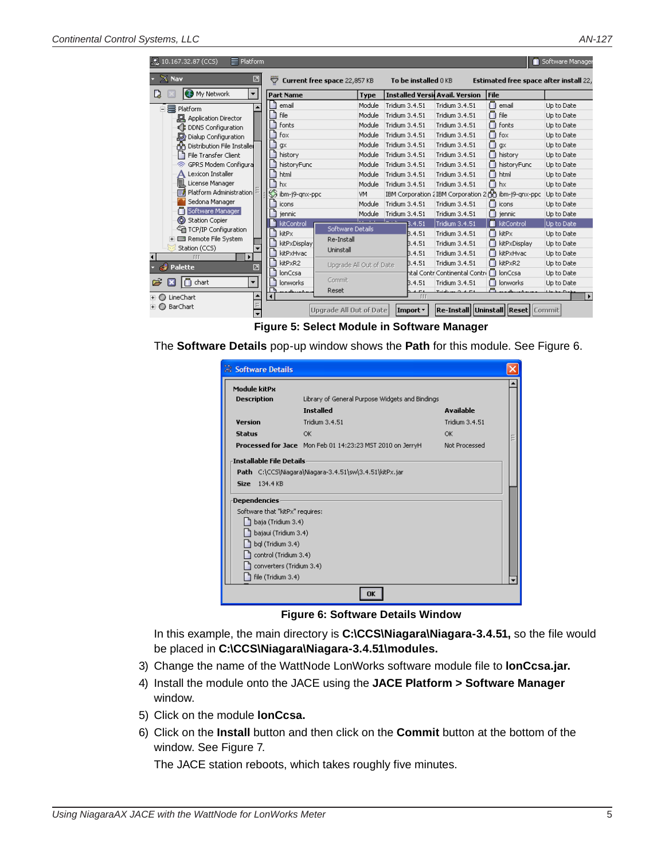| $\equiv$ Platform<br>L. 10.167.32.87 (CCS)          |                                    |             |                                        |                                          |                                                      | Software Manager      |
|-----------------------------------------------------|------------------------------------|-------------|----------------------------------------|------------------------------------------|------------------------------------------------------|-----------------------|
| $X$ Nav<br>◪                                        | Current free space 22,857 KB<br>▽  |             | To be installed 0 KB                   |                                          | <b>Estimated free space after install</b> 22,        |                       |
| <b>C.3</b> My Network<br>L)<br>$\blacktriangledown$ | <b>Part Name</b>                   | <b>Type</b> | <b>Installed Versil Avail, Version</b> |                                          | <b>File</b>                                          |                       |
| • Seatform<br>Ė                                     | email                              | Module      | Tridium 3.4.51                         | Tridium 3.4.51                           | ∩<br>email                                           | Up to Date            |
| <b>回</b> Application Director                       | file                               | Module      | Tridium 3.4.51                         | Tridium 3.4.51                           | $\cap$ file                                          | Up to Date            |
| <b>DDNS</b> Configuration<br>€                      | fonts                              | Module      | Tridium 3.4.51                         | Tridium 3.4.51                           | ∩<br>fonts                                           | Up to Date            |
| Dialup Configuration<br>场                           | fox                                | Module      | Tridium 3.4.51                         | Tridium 3.4.51                           | ∩<br>fox                                             | Up to Date            |
| Distribution File Installer                         | qx                                 | Module      | Tridium 3.4.51                         | Tridium 3.4.51                           | ∩<br>$\alpha$                                        | Up to Date            |
| File Transfer Client                                | history                            | Module      | Tridium 3.4.51                         | Tridium 3.4.51                           | n history                                            | Up to Date            |
| GPRS Modem Configura                                | historyFunc                        | Module      | Tridium 3.4.51                         | Tridium 3.4.51                           | historyFunc                                          | Up to Date            |
| Lexicon Installer<br>А                              | html                               | Module      | Tridium 3.4.51                         | Tridium 3.4.51                           | ∩<br>html                                            | Up to Date            |
| 圁<br>License Manager                                | hx                                 | Module      | Tridium 3.4.51                         | Tridium 3.4.51                           | ∩<br>hx                                              | Up to Date            |
| Platform Administration<br>≣í                       | SS<br>ibm-j9-gnx-ppc               | VM          |                                        |                                          | IBM Corporation 2IBM Corporation 2 nd ibm-j9-qnx-ppc | Up to Date            |
| Sedona Manager                                      | icons                              | Module      | Tridium 3.4.51                         | Tridium 3.4.51                           | ∩<br>icons                                           | Up to Date            |
| Software Manager                                    | jennic                             | Module      | Tridium 3.4.51                         | Tridium 3.4.51                           | $\Box$ jennic                                        | Up to Date            |
| ⊚<br><b>Station Copier</b><br>TCP/IP Configuration  | kitControl<br>Software Details     |             | 3.4.51                                 | Tridium 3.4.51                           | kitControl                                           | Up to Date            |
| Remote File System                                  | kitPx<br>Re-Install                |             | B.4.51                                 | Tridium 3.4.51                           | ∩<br>kitPx                                           | Up to Date            |
| Station (CCS)<br>▼                                  | kitPxDisplay<br>Uninstall          |             | B.4.51                                 | Tridium 3.4.51                           | kitPxDisplay                                         | Up to Date            |
| <b>III</b><br>٠                                     | kitPxHvac                          |             | B.4.51                                 | Tridium 3.4.51                           | h kitPxHvac                                          | Up to Date            |
| Palette<br>$\overline{\phantom{a}}$                 | kitPxR2<br>Upgrade All Out of Date |             | B.4.51                                 | Tridium 3.4.51                           | h kitPxR2                                            | Up to Date            |
|                                                     | lonCcsa                            |             |                                        | htal Contri Continental Contri 门 lonCcsa |                                                      | Up to Date            |
| Δ<br>chart<br>ದ<br>$\overline{\phantom{a}}$         | Commit<br>lonworks                 |             | B.4.51                                 | Tridium 3.4.51                           | ∩<br>lonworks                                        | Up to Date            |
| ٠<br>LineChart<br>œ                                 | Reset                              |             | $\Gamma$<br>TTT                        | $T \sim 100$<br>$\sim$                   | a                                                    | $\blacktriangleright$ |
| BarChart<br>$\overline{\phantom{0}}$                | <b>Upgrade All Out of Date</b>     |             | Import *                               |                                          | Re-Install  Uninstall  Reset  Commit                 |                       |

<span id="page-4-0"></span>**Figure 5: Select Module in Software Manager**

The **Software Details** pop-up window shows the **Path** for this module. See [Figure 6.](#page-4-1)

| Module kitPx<br><b>Description</b><br><b>Version</b><br><b>Status</b> | Library of General Purpose Widgets and Bindings<br><b>Installed</b><br>Tridium 3.4.51<br>OK<br>Processed for Jace Mon Feb 01 14:23:23 MST 2010 on JerryH | <b>Available</b><br>Tridium 3.4.51<br>OK<br>Not Processed |  |  |  |  |  |  |  |
|-----------------------------------------------------------------------|----------------------------------------------------------------------------------------------------------------------------------------------------------|-----------------------------------------------------------|--|--|--|--|--|--|--|
|                                                                       |                                                                                                                                                          |                                                           |  |  |  |  |  |  |  |
|                                                                       |                                                                                                                                                          |                                                           |  |  |  |  |  |  |  |
|                                                                       |                                                                                                                                                          |                                                           |  |  |  |  |  |  |  |
|                                                                       |                                                                                                                                                          |                                                           |  |  |  |  |  |  |  |
|                                                                       |                                                                                                                                                          |                                                           |  |  |  |  |  |  |  |
|                                                                       |                                                                                                                                                          |                                                           |  |  |  |  |  |  |  |
| <b>Installable File Details</b>                                       |                                                                                                                                                          |                                                           |  |  |  |  |  |  |  |
|                                                                       | Path C:\CCS\Niagara\Niagara-3.4.51\sw\3.4.51\kitPx.jar                                                                                                   |                                                           |  |  |  |  |  |  |  |
| 134.4 KB<br><b>Size</b>                                               |                                                                                                                                                          |                                                           |  |  |  |  |  |  |  |
|                                                                       |                                                                                                                                                          |                                                           |  |  |  |  |  |  |  |
| <b>Dependencies</b>                                                   |                                                                                                                                                          |                                                           |  |  |  |  |  |  |  |
| Software that "kitPx" requires:                                       |                                                                                                                                                          |                                                           |  |  |  |  |  |  |  |
| baja (Tridium 3.4)                                                    |                                                                                                                                                          |                                                           |  |  |  |  |  |  |  |
| bajaui (Tridium 3.4)                                                  |                                                                                                                                                          |                                                           |  |  |  |  |  |  |  |
| bql (Tridium 3.4)                                                     |                                                                                                                                                          |                                                           |  |  |  |  |  |  |  |
| control (Tridium 3.4)                                                 |                                                                                                                                                          |                                                           |  |  |  |  |  |  |  |
| converters (Tridium 3.4)                                              |                                                                                                                                                          |                                                           |  |  |  |  |  |  |  |
| file (Tridium 3.4)                                                    |                                                                                                                                                          |                                                           |  |  |  |  |  |  |  |
|                                                                       | OK                                                                                                                                                       |                                                           |  |  |  |  |  |  |  |

<span id="page-4-1"></span>**Figure 6: Software Details Window**

In this example, the main directory is **C:\CCS\Niagara\Niagara-3.4.51,** so the file would be placed in **C:\CCS\Niagara\Niagara-3.4.51\modules.**

- 3) Change the name of the WattNode LonWorks software module file to **lonCcsa.jar.**
- 4) Install the module onto the JACE using the **JACE Platform > Software Manager** window.
- 5) Click on the module **lonCcsa.**
- 6) Click on the **Install** button and then click on the **Commit** button at the bottom of the window. See [Figure 7](#page-5-0).

The JACE station reboots, which takes roughly five minutes.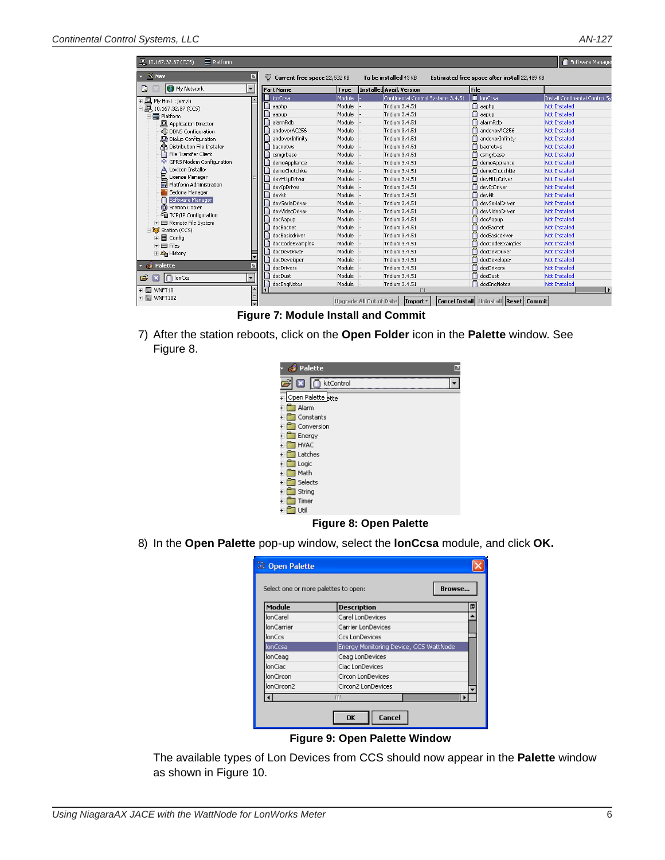| 10.167.32.87 (CCS)<br>$\equiv$ Platform                             |                          |                                   |        |                                 |                                    |      |                                              | Software Manager              |
|---------------------------------------------------------------------|--------------------------|-----------------------------------|--------|---------------------------------|------------------------------------|------|----------------------------------------------|-------------------------------|
| $\sim$ $\times$ Nav                                                 | ☑                        | Current free space 22,532 KB<br>▽ |        | To be installed 43 KB           |                                    |      | Estimated free space after install 22,489 KB |                               |
| My Network<br>L)                                                    | $\blacktriangledown$     | Part Name                         | Type   | <b>Installed Avail. Version</b> |                                    | File |                                              |                               |
| + 回<br>My Host : jerryh                                             | $\overline{\phantom{a}}$ | lonCcsa                           | Module |                                 | Continental Control Systems 3.4.51 |      | lonCcsa                                      | Install Continental Control 5 |
| $\exists$ $\Box$ , 10.167.32.87 (CCS)                               |                          | aaphp                             | Module | Tridium 3.4.51                  |                                    |      | aaphp                                        | <b>Not Installed</b>          |
| □ a Platform                                                        |                          | aapup                             | Module | Tridium 3.4.51                  |                                    |      | aapup                                        | <b>Not Installed</b>          |
| <b>回</b> Application Director                                       |                          | alarmRdb                          | Module | Tridium 3.4.51                  |                                    | ∩    | alarmRdb                                     | Not Installed                 |
| ₹ DDNS Configuration                                                |                          | andoverAC256                      | Module | Tridium 3.4.51                  |                                    | n    | andoverAC256                                 | <b>Not Installed</b>          |
| Dialup Configuration                                                |                          | andoverInfinity                   | Module | Tridium 3.4.51                  |                                    | O    | andoverInfinity                              | <b>Not Installed</b>          |
| An Distribution File Installer                                      |                          | harnetws                          | Module | Tridium 3.4.51                  |                                    | o    | harnetws                                     | Not Installed                 |
| File Transfer Client                                                |                          | csmarbase                         | Module | Tridium 3.4.51                  |                                    | n    | csmarbase                                    | Not Installed                 |
| S GPRS Modem Configuration                                          |                          | demoAppliance                     | Module | Tridium 3.4.51                  |                                    |      | demoAppliance                                | Not Installed                 |
| Lexicon Installer                                                   |                          | P<br>demoChotchkie                | Module | Tridium 3.4.51                  |                                    | n    | demoChotchkie                                | <b>Not Installed</b>          |
| 凬<br>License Manager                                                |                          | devHttpDriver                     | Module | Tridium 3.4.51                  |                                    | o    | devHttpDriver                                | <b>Not Installed</b>          |
| <b>FA</b> Platform Administration                                   |                          | devIpDriver                       | Module | Tridium 3.4.51                  |                                    |      | devIpDriver                                  | <b>Not Installed</b>          |
| Sedona Manager                                                      |                          | P<br>devkit                       | Module | Tridium 3.4.51                  |                                    |      | n devkit                                     | Not Installed                 |
| Software Manager                                                    |                          | devSerialDriver                   | Module | Tridium 3.4.51                  |                                    | n    | devSerialDriver                              | <b>Not Installed</b>          |
| (6) Station Copier                                                  |                          | devVideoDriver                    | Module | Tridium 3.4.51                  |                                    |      | devVideoDriver                               | <b>Not Installed</b>          |
| <sup>C</sup> in TCP/IP Configuration<br><b>E</b> Remote File System |                          | docAapup                          | Module | Tridium 3.4.51                  |                                    | ∩    | docAapup                                     | <b>Not Installed</b>          |
| Station (CCS)                                                       |                          | docBacnet                         | Module | Tridium 3.4.51                  |                                    | o    | docBacnet                                    | <b>Not Installed</b>          |
| + 目 Config                                                          |                          | docBasicdriver                    | Module | Tridium 3.4.51                  |                                    | n    | docBasicdriver                               | Not Installed                 |
| $\overline{+}$ $\overline{=}$ Files                                 |                          | docCodeExamples                   | Module | Tridium 3.4.51                  |                                    | n    | docCodeExamples                              | <b>Not Installed</b>          |
| $\pm 2$ History                                                     |                          | docDevDriver                      | Module | Tridium 3.4.51                  |                                    | n    | docDevDriver                                 | Not Installed                 |
|                                                                     | ∓                        | docDeveloper                      | Module | Tridium 3.4.51                  |                                    | o    | docDeveloper                                 | <b>Not Installed</b>          |
| Palette<br>- 61                                                     | 团                        | docDrivers                        | Module | Tridium 3.4.51                  |                                    | o    | docDrivers                                   | <b>Not Installed</b>          |
| $\Box$ lonCcs<br>õ<br>x                                             | $\overline{\phantom{a}}$ | Ľ<br>docDust                      | Module | Tridium 3.4.51                  |                                    |      | docDust                                      | Not Installed                 |
|                                                                     |                          | docEngNotes                       | Module | Tridium 3.4.51                  |                                    |      | docEngNotes                                  | Not Installed                 |
| F- a WNFT10                                                         |                          |                                   |        |                                 | <b>III</b>                         |      |                                              |                               |
| <b>E-</b> WNFT102                                                   | $\frac{1}{2}$            |                                   |        | Upgrade All Out of Date         | $ $ Import $\tau$                  |      | Cancel Install Uninstall Reset Commit        |                               |

**Figure 7: Module Install and Commit**

7) After the station reboots, click on the **Open Folder** icon in the **Palette** window. See [Figure 8.](#page-5-1)

<span id="page-5-0"></span>

| Palette<br>⊡      |
|-------------------|
| kitControl        |
| Open Palette ette |
| Alarm             |
| Constants         |
| Conversion        |
| Energy            |
| <b>HVAC</b>       |
| Latches           |
| Logic             |
| Math              |
| Selects           |
| String            |
| Timer             |
| Util              |

<span id="page-5-1"></span>**Figure 8: Open Palette**

8) In the **Open Palette** pop-up window, select the **lonCcsa** module, and click **OK.**

| <b>22 Open Palette</b>               |                                        |   |
|--------------------------------------|----------------------------------------|---|
| Select one or more palettes to open: | Browse                                 |   |
| Module                               | <b>Description</b>                     | 臣 |
| lonCarel                             | Carel LonDevices                       |   |
| <b>lonCarrier</b>                    | Carrier LonDevices                     |   |
| lonCcs                               | <b>Ccs LonDevices</b>                  |   |
| lonCcsa                              | Energy Monitoring Device, CCS WattNode |   |
| lonCeag                              | Ceag LonDevices                        |   |
| lonCiac                              | Ciac LonDevices                        |   |
| lonCircon                            | Circon LonDevices                      |   |
| lonCircon2                           | Circon2 LonDevices                     |   |
|                                      | <b>TTT</b>                             |   |
|                                      | OK<br>Cancel                           |   |

**Figure 9: Open Palette Window**

The available types of Lon Devices from CCS should now appear in the **Palette** window as shown in [Figure 10](#page-6-2).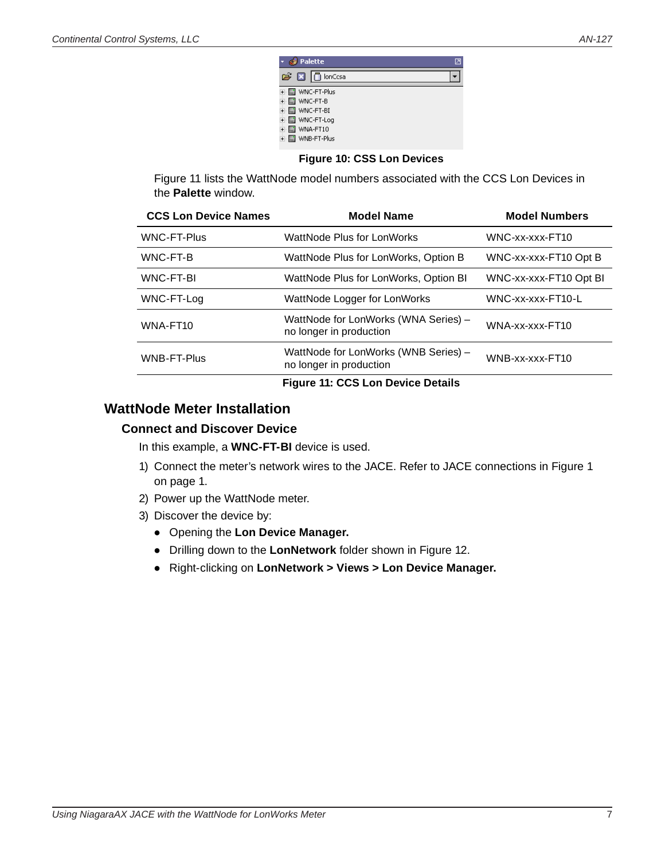| Palette           |  |
|-------------------|--|
| nonCcsa<br>63 R I |  |
| WNC-FT-Plus       |  |
| WNC-FT-B          |  |
| WNC-FT-BI         |  |
| WNC-FT-Log        |  |
| WNA-FT10          |  |
| WNB-FT-Plus       |  |

### <span id="page-6-2"></span>**Figure 10: CSS Lon Devices**

<span id="page-6-0"></span>[Figure 11](#page-6-3) lists the WattNode model numbers associated with the CCS Lon Devices in the **Palette** window.

| <b>CCS Lon Device Names</b> | <b>Model Name</b>                                               | <b>Model Numbers</b>   |
|-----------------------------|-----------------------------------------------------------------|------------------------|
| <b>WNC-FT-Plus</b>          | WattNode Plus for LonWorks                                      | WNC-xx-xxx-FT10        |
| WNC-FT-B                    | WattNode Plus for LonWorks, Option B                            | WNC-xx-xxx-FT10 Opt B  |
| WNC-FT-BI                   | WattNode Plus for LonWorks, Option BI                           | WNC-xx-xxx-FT10 Opt BI |
| WNC-FT-Log                  | WattNode Logger for LonWorks                                    | WNC-xx-xxx-FT10-L      |
| WNA-FT10                    | WattNode for LonWorks (WNA Series) -<br>no longer in production | WNA-xx-xxx-FT10        |
| <b>WNB-FT-Plus</b>          | WattNode for LonWorks (WNB Series) -<br>no longer in production | WNB-xx-xxx-FT10        |
|                             |                                                                 |                        |

#### <span id="page-6-3"></span>**Figure 11: CCS Lon Device Details**

# **WattNode Meter Installation**

# <span id="page-6-1"></span>**Connect and Discover Device**

In this example, a **WNC-FT-BI** device is used.

- 1) Connect the meter's network wires to the JACE. Refer to JACE connections in [Figure 1](#page-0-0)  [on page 1](#page-0-0).
- 2) Power up the WattNode meter.
- 3) Discover the device by:
	- Opening the **Lon Device Manager.**
	- Drilling down to the **LonNetwork** folder shown in [Figure 12](#page-7-0).
	- Right-clicking on **LonNetwork > Views > Lon Device Manager.**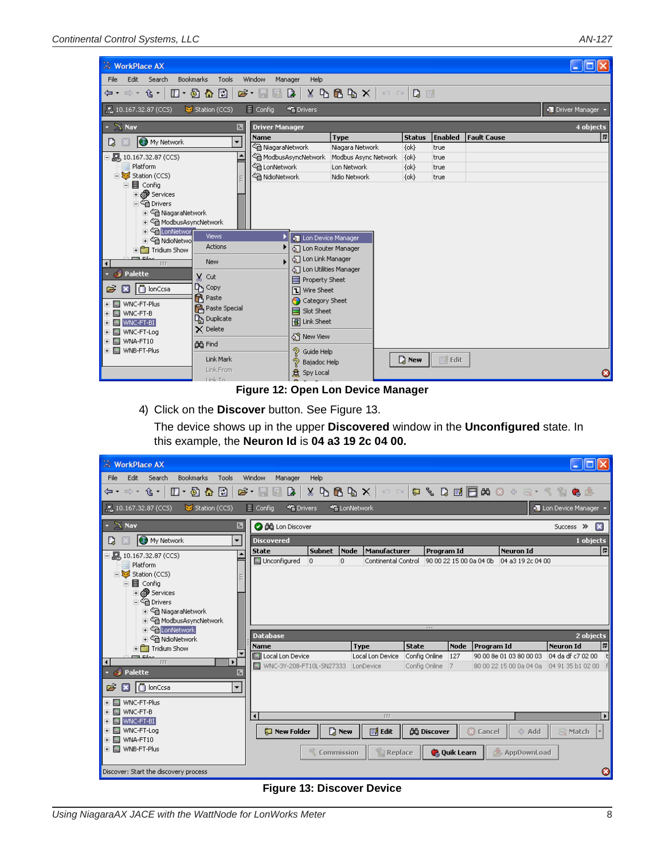| <b>WorkPlace AX</b>                                                                                                                                                                                                                                                                                                                                                                                                                      |                                                                                                                                                                                                      |                          |                                                                                                                                                                                                                                                                                                      |                      |               |                   |                    | ∥⊡∥X      |  |
|------------------------------------------------------------------------------------------------------------------------------------------------------------------------------------------------------------------------------------------------------------------------------------------------------------------------------------------------------------------------------------------------------------------------------------------|------------------------------------------------------------------------------------------------------------------------------------------------------------------------------------------------------|--------------------------|------------------------------------------------------------------------------------------------------------------------------------------------------------------------------------------------------------------------------------------------------------------------------------------------------|----------------------|---------------|-------------------|--------------------|-----------|--|
| File<br>Edit<br>Search<br><b>Bookmarks</b>                                                                                                                                                                                                                                                                                                                                                                                               | Tools                                                                                                                                                                                                | Window<br>Manager        | Help                                                                                                                                                                                                                                                                                                 |                      |               |                   |                    |           |  |
| $X \oplus \bigoplus \mathbb{Q} \subset X \mid \circlearrowright \circ \mid \bigcirc \mathbb{Q} \equiv$<br>$\Box$ + $\Box$ + $\Box$<br>$\mathbf{B} \cdot \mathbf{B}$<br>$\begin{array}{c c c c c} \hline \mathbf{a} & \mathbf{b} & \mathbf{c} \end{array}$<br>⇦▾ ⇨▾ ⇪▾│                                                                                                                                                                   |                                                                                                                                                                                                      |                          |                                                                                                                                                                                                                                                                                                      |                      |               |                   |                    |           |  |
| ■ 10.167.32.87 (CCS)                                                                                                                                                                                                                                                                                                                                                                                                                     | Station (CCS)<br>$\equiv$ Config<br><b>SE</b> Drivers<br>O Driver Manager                                                                                                                            |                          |                                                                                                                                                                                                                                                                                                      |                      |               |                   |                    |           |  |
| $26$ Nav                                                                                                                                                                                                                                                                                                                                                                                                                                 | ☑                                                                                                                                                                                                    | <b>Driver Manager</b>    |                                                                                                                                                                                                                                                                                                      |                      |               |                   |                    | 4 objects |  |
| My Network<br>D                                                                                                                                                                                                                                                                                                                                                                                                                          | $\overline{\phantom{a}}$                                                                                                                                                                             | <b>Name</b>              |                                                                                                                                                                                                                                                                                                      | <b>Type</b>          | <b>Status</b> | <b>Enabled</b>    | <b>Fault Cause</b> | 同         |  |
|                                                                                                                                                                                                                                                                                                                                                                                                                                          |                                                                                                                                                                                                      | └ NiagaraNetwork         |                                                                                                                                                                                                                                                                                                      | Niagara Network      | $\{ok\}$      | true              |                    |           |  |
| 白鳳, 10.167.32.87 (CCS)                                                                                                                                                                                                                                                                                                                                                                                                                   |                                                                                                                                                                                                      |                          | <sup>က္</sup> ျဲ့ ModbusAsyncNetwork                                                                                                                                                                                                                                                                 | Modbus Async Network | $\{ok\}$      | true              |                    |           |  |
| Platform                                                                                                                                                                                                                                                                                                                                                                                                                                 |                                                                                                                                                                                                      | <sup>3</sup> LonNetwork  |                                                                                                                                                                                                                                                                                                      | Lon Network          | $\{ok\}$      | true              |                    |           |  |
| Station (CCS)<br>目 Config                                                                                                                                                                                                                                                                                                                                                                                                                |                                                                                                                                                                                                      | <sup>3</sup> NdioNetwork |                                                                                                                                                                                                                                                                                                      | Ndio Network         | $\{ok\}$      | true              |                    |           |  |
| <b>⊞ @ Services</b><br>⊟ <sup>€</sup> in Drivers<br>⊞ < a NiagaraNetwork<br>中 a ModbusAsyncNetwork<br>由 命 LonNetworl<br>由 Sm NdioNetwo<br>$\overline{+}\overline{+}$ Tridium Show<br><b>Ellen</b> Eilen<br>$\overline{111}$<br>$\left  \right $<br><b>C</b> Palette<br>□ lonCcsa<br>õ<br>×<br>in WNC-FT-Plus<br>$+$<br>WNC-FT-B<br>$+$<br>E- MWNC-FT-BI<br><b>M</b> WNC-FT-Log<br>$\left  + \right $<br>MNA-FT10<br>$+$<br>由 MNB-FT-Plus | <b>Views</b><br>Actions<br>New<br>x<br>Cut<br>ᡗᡃᢩᡖ сору<br><b>R</b> Paste<br><b>PA</b> Paste Special<br>D <sub>an</sub> Duplicate<br>$\times$ Delete<br>dd Find<br>Link Mark<br>Link From<br>Link To |                          | <b>o</b> Lon Device Manager<br>T Lon Router Manager<br><b>Q</b> Lon Link Manager<br>T Lon Utilities Manager<br>目 Property Sheet<br><b>T</b> Wire Sheet<br>Category Sheet<br>Slot Sheet<br><b>图 Link Sheet</b><br>5 <sup>6</sup> New View<br>? Guide Help<br>ಶಿ<br>Bajadoc Help<br><b>总</b> Spy Local |                      | <b>Q</b> New  | $\mathbb{F}$ Edit |                    | Ø         |  |

### <span id="page-7-0"></span>**Figure 12: Open Lon Device Manager**

4) Click on the **Discover** button. See [Figure 13.](#page-7-1)

The device shows up in the upper **Discovered** window in the **Unconfigured** state. In this example, the **Neuron Id** is **04 a3 19 2c 04 00.**

| <b>NorkPlace AX</b>                             |                                                                                                                          |                              |                     |                                  |                         |                                                                                                                                                                                                                                                                                                                                                                                                                                        |
|-------------------------------------------------|--------------------------------------------------------------------------------------------------------------------------|------------------------------|---------------------|----------------------------------|-------------------------|----------------------------------------------------------------------------------------------------------------------------------------------------------------------------------------------------------------------------------------------------------------------------------------------------------------------------------------------------------------------------------------------------------------------------------------|
| Search<br>Bookmarks<br>Tools<br>File<br>Edit    | Window<br>Help<br>Manager                                                                                                |                              |                     |                                  |                         |                                                                                                                                                                                                                                                                                                                                                                                                                                        |
| ⇦▾ ⇨▾ ⇪▾│<br>$\Box$ + $\Box$ + $\Box$           | $\mathbf{B} \cdot \mathbf{B}$<br>$\begin{array}{c c c c c} \hline \textbf{a} & \textbf{b} & \textbf{c} \end{array}$<br>區 | $8$ b $6$ b $\times$ $ $     | $E$ $E$             |                                  |                         | $\begin{array}{ccccccccccccccccc} \mathbb{C} & \mathbb{C} & \mathbb{C} & \mathbb{C} & \mathbb{C} & \mathbb{C} & \mathbb{C} & \mathbb{C} & \mathbb{C} & \mathbb{C} & \mathbb{C} & \mathbb{C} & \mathbb{C} & \mathbb{C} & \mathbb{C} & \mathbb{C} & \mathbb{C} & \mathbb{C} & \mathbb{C} & \mathbb{C} & \mathbb{C} & \mathbb{C} & \mathbb{C} & \mathbb{C} & \mathbb{C} & \mathbb{C} & \mathbb{C} & \mathbb{C} & \mathbb{C} & \mathbb{C}$ |
| Station (CCS)<br>. 10.167.32.87 (CCS)           | $\equiv$ Config<br><b>SE</b> Drivers                                                                                     | <b>**</b> LonNetwork         |                     |                                  |                         | <b>Q.</b> Lon Device Manager                                                                                                                                                                                                                                                                                                                                                                                                           |
| $\mathbb{X}$ Nav<br>☑                           | <b>O dü</b> Lon Discover                                                                                                 |                              |                     |                                  |                         | ×<br>Success >>                                                                                                                                                                                                                                                                                                                                                                                                                        |
| My Network<br>$\overline{\phantom{0}}$<br>D     | <b>Discovered</b>                                                                                                        |                              |                     |                                  |                         | 1 objects                                                                                                                                                                                                                                                                                                                                                                                                                              |
| ٠                                               | <b>State</b>                                                                                                             | <b>Subnet</b><br><b>Node</b> | Manufacturer        | Program Id                       | <b>Neuron Id</b>        | 티                                                                                                                                                                                                                                                                                                                                                                                                                                      |
| Platform                                        | In Unconfigured<br>$\overline{0}$                                                                                        | lo.                          | Continental Control | 90 00 22 15 00 0a 04 0b          | 04 a3 19 2c 04 00       |                                                                                                                                                                                                                                                                                                                                                                                                                                        |
| 白烟 Station (CCS)                                |                                                                                                                          |                              |                     |                                  |                         |                                                                                                                                                                                                                                                                                                                                                                                                                                        |
| 目 Config<br><b>⊞ @ Services</b>                 |                                                                                                                          |                              |                     |                                  |                         |                                                                                                                                                                                                                                                                                                                                                                                                                                        |
| ⊟ <sup>2</sup> भी Drivers                       |                                                                                                                          |                              |                     |                                  |                         |                                                                                                                                                                                                                                                                                                                                                                                                                                        |
| + Cm NiagaraNetwork                             |                                                                                                                          |                              |                     |                                  |                         |                                                                                                                                                                                                                                                                                                                                                                                                                                        |
| F Cin ModbusAsyncNetwork                        |                                                                                                                          |                              |                     | rrr                              |                         |                                                                                                                                                                                                                                                                                                                                                                                                                                        |
| 由 命 LonNetwork<br><b>E</b> △ NdioNetwork        | <b>Database</b>                                                                                                          |                              |                     |                                  |                         | 2 objects                                                                                                                                                                                                                                                                                                                                                                                                                              |
| $\overline{+}\overline{+}$ Tridium Show         | Name                                                                                                                     | <b>Type</b>                  | <b>State</b>        | <b>Node</b>                      | <b>Program Id</b>       | 問<br><b>Neuron Id</b>                                                                                                                                                                                                                                                                                                                                                                                                                  |
| ma pilot<br>TIT                                 | Local Lon Device                                                                                                         |                              | Local Lon Device    | Config Online<br>127             | 90 00 8e 01 03 80 00 03 | 04 da df c7 02 00                                                                                                                                                                                                                                                                                                                                                                                                                      |
| $\overline{\mathbf{f}}$<br>Palette<br>الکه<br>⊠ | WNC-3Y-208-FT10L-SN27333 LonDevice                                                                                       |                              |                     | Config Online<br>$\overline{7}$  |                         |                                                                                                                                                                                                                                                                                                                                                                                                                                        |
|                                                 |                                                                                                                          |                              |                     |                                  |                         |                                                                                                                                                                                                                                                                                                                                                                                                                                        |
| □ lonCcsa<br>$\overline{\phantom{a}}$<br>Ê<br>B |                                                                                                                          |                              |                     |                                  |                         |                                                                                                                                                                                                                                                                                                                                                                                                                                        |
| + a WNC-FT-Plus                                 |                                                                                                                          |                              |                     |                                  |                         |                                                                                                                                                                                                                                                                                                                                                                                                                                        |
| MNC-FT-B<br>$+$                                 | $\blacktriangleleft$                                                                                                     |                              | TTT                 |                                  |                         | $\blacktriangleright$                                                                                                                                                                                                                                                                                                                                                                                                                  |
| <b>ENGINE WNC-FT-BI</b>                         |                                                                                                                          |                              |                     |                                  |                         |                                                                                                                                                                                                                                                                                                                                                                                                                                        |
| <b>M</b> WNC-FT-Log<br>$+$<br>中国 WNA-FT10       | New Folder                                                                                                               | $\mathbb{Q}$ New             | <b>国</b> Edit       | <b>OG</b> Discover               | <b>C</b> Cancel         | A Match<br>← Add                                                                                                                                                                                                                                                                                                                                                                                                                       |
| 由 图 WNB-FT-Plus                                 |                                                                                                                          | <b>Commission</b>            | î.<br>Replace       | <b>C</b> <sub>d</sub> Quik Learn | AppDownLoad             |                                                                                                                                                                                                                                                                                                                                                                                                                                        |
|                                                 |                                                                                                                          |                              |                     |                                  |                         |                                                                                                                                                                                                                                                                                                                                                                                                                                        |
| Discover: Start the discovery process           |                                                                                                                          |                              |                     |                                  |                         | Ø                                                                                                                                                                                                                                                                                                                                                                                                                                      |

#### <span id="page-7-1"></span>**Figure 13: Discover Device**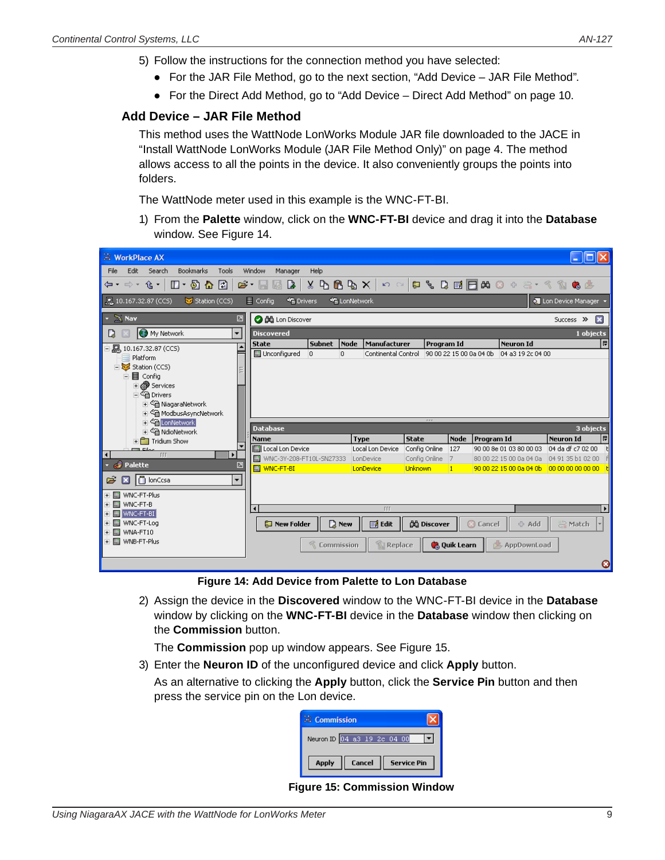- <span id="page-8-0"></span>5) Follow the instructions for the connection method you have selected:
	- For the JAR File Method, go to the next section, ["Add Device JAR File Method".](#page-8-1)
	- For the Direct Add Method, go to ["Add Device Direct Add Method" on page 10.](#page-9-1)

## **Add Device – JAR File Method**

<span id="page-8-1"></span>This method uses the WattNode LonWorks Module JAR file downloaded to the JACE in ["Install WattNode LonWorks Module \(JAR File Method Only\)" on page 4.](#page-3-2) The method allows access to all the points in the device. It also conveniently groups the points into folders.

The WattNode meter used in this example is the WNC-FT-BI.

1) From the **Palette** window, click on the **WNC-FT-BI** device and drag it into the **Database** window. See [Figure 14.](#page-8-2)

| <b>E</b> WorkPlace AX                                                                                                                                                                                                                                                                                                                                                                                                                                                                                                                          |                                       |                              |                                     |                               |                                  |                                                                  |                                            |  |  |
|------------------------------------------------------------------------------------------------------------------------------------------------------------------------------------------------------------------------------------------------------------------------------------------------------------------------------------------------------------------------------------------------------------------------------------------------------------------------------------------------------------------------------------------------|---------------------------------------|------------------------------|-------------------------------------|-------------------------------|----------------------------------|------------------------------------------------------------------|--------------------------------------------|--|--|
| <b>Bookmarks</b><br>Edit<br>Search<br>Tools<br>Window<br>Help<br>File<br>Manager                                                                                                                                                                                                                                                                                                                                                                                                                                                               |                                       |                              |                                     |                               |                                  |                                                                  |                                            |  |  |
| $\begin{array}{ccccccccccccccccc} \mathbf{Q} & \mathbf{Q} & \mathbf{Y} & \mathbf{Y} & \mathbf{Y} & \mathbf{Y} & \mathbf{X} & \mathbf{X} & \mathbf{Y} & \mathbf{X} & \mathbf{Y} & \mathbf{X} & \mathbf{Y} & \mathbf{X} & \mathbf{Y} & \mathbf{X} & \mathbf{Y} & \mathbf{X} & \mathbf{Y} & \mathbf{Y} & \mathbf{Y} & \mathbf{Y} & \mathbf{Y} & \mathbf{Y} & \mathbf{Y} & \mathbf{Y} & \mathbf{Y} & \mathbf{Y} & \mathbf{Y} & \mathbf{Y}$<br>⇦▾ ⇨▾ ⇪▾<br>$\Box$ + $\Box$ + $\Box$<br>☞<br>$X \oplus B \oplus X$<br>B.<br>F<br>$R_2 \cap R_1$<br>H |                                       |                              |                                     |                               |                                  |                                                                  |                                            |  |  |
| $\equiv$ Config<br>■ 10.167.32.87 (CCS)<br><b>SE</b> Drivers<br>Station (CCS)<br><sup>命</sup> LonNetwork<br><b>Q</b> Lon Device Manager                                                                                                                                                                                                                                                                                                                                                                                                        |                                       |                              |                                     |                               |                                  |                                                                  |                                            |  |  |
| $\mathbb{X}$ Nav<br>团                                                                                                                                                                                                                                                                                                                                                                                                                                                                                                                          | <b>O</b> dig Lon Discover             |                              |                                     |                               |                                  |                                                                  | ×<br>Success >>                            |  |  |
| $\overline{\phantom{0}}$<br><b>B</b> My Network<br>L)                                                                                                                                                                                                                                                                                                                                                                                                                                                                                          | <b>Discovered</b>                     |                              |                                     |                               |                                  |                                                                  | 1 objects                                  |  |  |
| 鳳<br>10.167.32.87 (CCS)                                                                                                                                                                                                                                                                                                                                                                                                                                                                                                                        | <b>State</b><br>in Unconfigured<br>D. | Node<br><b>Subnet</b><br>lo. | Manufacturer<br>Continental Control | Program Id                    |                                  | <b>Neuron Id</b><br>90 00 22 15 00 0a 04 0b<br>04 a3 19 2c 04 00 | 同                                          |  |  |
| Platform<br>Station (CCS)                                                                                                                                                                                                                                                                                                                                                                                                                                                                                                                      |                                       |                              |                                     |                               |                                  |                                                                  |                                            |  |  |
| ·目 Config<br>$\overline{ }$                                                                                                                                                                                                                                                                                                                                                                                                                                                                                                                    |                                       |                              |                                     |                               |                                  |                                                                  |                                            |  |  |
| <b>⊞ @ Services</b>                                                                                                                                                                                                                                                                                                                                                                                                                                                                                                                            |                                       |                              |                                     |                               |                                  |                                                                  |                                            |  |  |
| 白 <sup>4</sup> Drivers                                                                                                                                                                                                                                                                                                                                                                                                                                                                                                                         |                                       |                              |                                     |                               |                                  |                                                                  |                                            |  |  |
| i < <a> Ga<br/> NiagaraNetwork<br/> RiagaraNetwork<br/> RiagaraNetwork<br/> RiagaraNetwork<br/> RiagaraNetwork<br/> RiagaraNetwork<br/> RiagaraNetwork<br/> RiagaraNetwork<br/> RiagaraNetwork<br/> RiagaraNetwork<b<br>i &lt;&lt;<a> <sup>&lt; C</sup><br/> ModbusAsyncNetwork</a></b<br></a>                                                                                                                                                                                                                                                 |                                       |                              |                                     |                               |                                  |                                                                  |                                            |  |  |
| 由 G LonNetwork                                                                                                                                                                                                                                                                                                                                                                                                                                                                                                                                 |                                       |                              |                                     | rrr                           |                                  |                                                                  |                                            |  |  |
| □ <sup>全</sup> NdioNetwork                                                                                                                                                                                                                                                                                                                                                                                                                                                                                                                     | <b>Database</b>                       |                              |                                     |                               |                                  |                                                                  | 3 objects                                  |  |  |
| $\mathbf{F}$ Tridium Show<br>ma star                                                                                                                                                                                                                                                                                                                                                                                                                                                                                                           | <b>Name</b><br>I Local Lon Device     |                              | <b>Type</b><br>Local Lon Device     | <b>State</b><br>Config Online | <b>Node</b><br>127               | Program Id<br>90 00 8e 01 03 80 00 03                            | 同<br><b>Neuron Id</b><br>04 da df c7 02 00 |  |  |
| TIT<br>$\overline{\mathbf{A}}$<br>Þ                                                                                                                                                                                                                                                                                                                                                                                                                                                                                                            | WNC-3Y-208-FT10L-SN27333              |                              | LonDevice                           | Config Online                 | 7                                | 80 00 22 15 00 0a 04 0a                                          | 04 91 35 b1 02 00                          |  |  |
| Palette<br><b>O</b><br>囨                                                                                                                                                                                                                                                                                                                                                                                                                                                                                                                       | <b>M</b> WNC-FT-BI                    |                              | LonDevice                           | Unknown                       | 11                               | 90 00 22 15 00 0a 04 0b                                          | 00 00 00 00 00 00                          |  |  |
| <b>D</b> lonCcsa<br>$\overline{\phantom{a}}$<br>Ê<br>×                                                                                                                                                                                                                                                                                                                                                                                                                                                                                         |                                       |                              |                                     |                               |                                  |                                                                  |                                            |  |  |
| WNC-FT-Plus<br><b>COL</b>                                                                                                                                                                                                                                                                                                                                                                                                                                                                                                                      |                                       |                              |                                     |                               |                                  |                                                                  |                                            |  |  |
| WNC-FT-B<br>$\mathbf{m}$                                                                                                                                                                                                                                                                                                                                                                                                                                                                                                                       |                                       |                              |                                     |                               |                                  |                                                                  |                                            |  |  |
| WNC-FT-BI<br>E.                                                                                                                                                                                                                                                                                                                                                                                                                                                                                                                                | $\blacksquare$                        |                              | TTT                                 |                               |                                  |                                                                  | $\mathbf{E}$                               |  |  |
| WNC-FT-Log<br>m.<br>WNA-FT10<br>m.                                                                                                                                                                                                                                                                                                                                                                                                                                                                                                             | New Folder                            | <b>D</b> New                 | <b>国</b> Edit                       | <b>OG</b> Discover            |                                  | <b>C</b> Cancel                                                  | ← Add<br>Match<br>ð                        |  |  |
| + ■ WNB-FT-Plus                                                                                                                                                                                                                                                                                                                                                                                                                                                                                                                                |                                       | <b>Commission</b>            | Ŵ.<br>Replace                       |                               | <b>C</b> <sub>d</sub> Quik Learn | AppDownLoad                                                      |                                            |  |  |
|                                                                                                                                                                                                                                                                                                                                                                                                                                                                                                                                                |                                       |                              |                                     |                               |                                  |                                                                  | Ø                                          |  |  |

**Figure 14: Add Device from Palette to Lon Database**

2) Assign the device in the **Discovered** window to the WNC-FT-BI device in the **Database** window by clicking on the **WNC-FT-BI** device in the **Database** window then clicking on the **Commission** button.

The **Commission** pop up window appears. See [Figure 15.](#page-8-3)

3) Enter the **Neuron ID** of the unconfigured device and click **Apply** button.

As an alternative to clicking the **Apply** button, click the **Service Pin** button and then press the service pin on the Lon device.

<span id="page-8-2"></span>

| <b>Commission</b>           |                    |
|-----------------------------|--------------------|
| Neuron ID 04 a3 19 2c 04 00 |                    |
| <b>Apply</b><br>Cancel      | <b>Service Pin</b> |

<span id="page-8-3"></span>**Figure 15: Commission Window**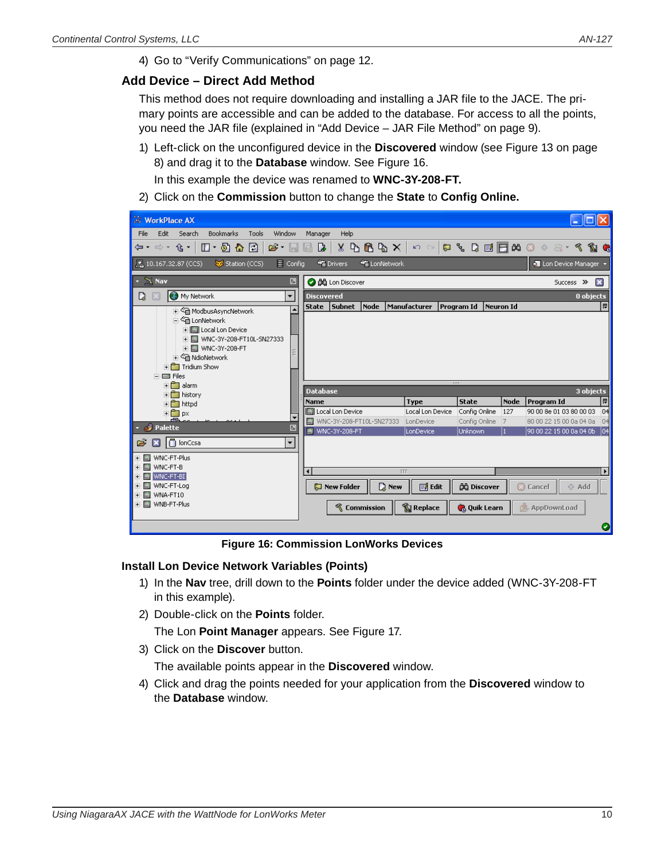<span id="page-9-1"></span>4) Go to ["Verify Communications" on page 12](#page-11-1).

### <span id="page-9-0"></span>**Add Device – Direct Add Method**

This method does not require downloading and installing a JAR file to the JACE. The primary points are accessible and can be added to the database. For access to all the points, you need the JAR file (explained in ["Add Device – JAR File Method" on page 9](#page-8-1)).

1) Left-click on the unconfigured device in the **Discovered** window (see [Figure 13 on page](#page-7-1)  [8](#page-7-1)) and drag it to the **Database** window. See [Figure 16.](#page-9-2)

In this example the device was renamed to **WNC-3Y-208-FT.**

2) Click on the **Commission** button to change the **State** to **Config Online.**

| <b>WorkPlace AX</b>                                                                |                                                                                                             |                  |                     |             |                                                                                                                                                                                                             |
|------------------------------------------------------------------------------------|-------------------------------------------------------------------------------------------------------------|------------------|---------------------|-------------|-------------------------------------------------------------------------------------------------------------------------------------------------------------------------------------------------------------|
| Edit Search<br><b>Bookmarks</b><br>Tools<br>Window<br><b>File</b>                  | Help<br>Manager                                                                                             |                  |                     |             |                                                                                                                                                                                                             |
| ⇦▾ ⇨▾ ⇪▾│<br>$\Box$ + $\odot$ $\Delta$ $\Box$  <br>$\mathbf{B} \cdot \mathbf{B}$ . | $\begin{array}{c c c c c} \hline \mathbf{a} & \mathbf{b} & \mathbf{c} \end{array}$<br>$X \oplus B \oplus X$ |                  |                     |             | $\mathfrak{O} \otimes \mathfrak{O} \otimes \mathfrak{O} \otimes \mathfrak{O} \otimes \mathfrak{O} \otimes \mathfrak{O} \otimes \mathfrak{O} \otimes \mathfrak{O} \otimes \mathfrak{O} \otimes \mathfrak{O}$ |
| 10.167.32.87 (CCS)<br>Station (CCS)<br>$\equiv$ Config                             | <sup>4</sup> Drivers<br><sup>4</sup> LonNetwork                                                             |                  |                     |             | <b>Q.</b> Lon Device Manager                                                                                                                                                                                |
| $\star$ $\mathbb{X}$ Nav<br>团                                                      | <b>O dů</b> Lon Discover                                                                                    |                  |                     |             | 図<br>Success >>                                                                                                                                                                                             |
| My Network<br>D.<br>$\overline{\phantom{a}}$                                       | <b>Discovered</b>                                                                                           |                  |                     |             | 0 objects                                                                                                                                                                                                   |
| 由 <sup>全</sup> ModbusAsyncNetwork                                                  | State Subnet<br>Node                                                                                        | Manufacturer     | Program Id          | Neuron Id   | I⊯I                                                                                                                                                                                                         |
| 白 <sup>。会</sup> 自 LonNetwork                                                       |                                                                                                             |                  |                     |             |                                                                                                                                                                                                             |
| i - ■ WNC-3Y-208-FT10L-SN27333                                                     |                                                                                                             |                  |                     |             |                                                                                                                                                                                                             |
| 由 图 WNC-3Y-208-FT<br><b>E</b> △ NdioNetwork                                        |                                                                                                             |                  |                     |             |                                                                                                                                                                                                             |
| $\mathbb{F}$ Tridium Show                                                          |                                                                                                             |                  |                     |             |                                                                                                                                                                                                             |
| <b>E</b> Elles<br>$\overline{+}\overline{\bigcap}$ alarm                           |                                                                                                             | <b>P.P.I</b>     |                     |             |                                                                                                                                                                                                             |
| <b>E</b> history                                                                   | <b>Database</b>                                                                                             |                  |                     |             | 3 objects                                                                                                                                                                                                   |
| <b>in</b> httpd                                                                    | Name                                                                                                        | <b>Type</b>      | <b>State</b>        | <b>Node</b> | 同<br>Program Id                                                                                                                                                                                             |
| ± <del>∩</del> px                                                                  | <b>In Local Lon Device</b>                                                                                  | Local Lon Device | Config Online       | 127         | 90 00 8e 01 03 80 00 03<br> 04                                                                                                                                                                              |
| Æ<br>$\sim$ $\mathcal{C}$ Palette<br>♬                                             | WNC-3Y-208-FT10L-SN27333<br><b>A</b>                                                                        | LonDevice        | Config Online       | 17          | 80 00 22 15 00 0a 04 0a<br>04                                                                                                                                                                               |
|                                                                                    | <b>M</b> WNC-3Y-208-FT                                                                                      | LonDevice        | <b>Unknown</b>      |             | 90 00 22 15 00 0a 04 0b<br> 04                                                                                                                                                                              |
| $\Box$ lonCcsa<br>B<br>٠                                                           |                                                                                                             |                  |                     |             |                                                                                                                                                                                                             |
| · ■ WNC-FT-Plus<br><b>E-MI</b> WNC-FT-B                                            |                                                                                                             |                  |                     |             |                                                                                                                                                                                                             |
| EN M WNC-FT-BI                                                                     | ⊣                                                                                                           | TTT              |                     |             | $\blacktriangleright$                                                                                                                                                                                       |
| · la WNC-FT-Loq<br>· la WNA-FT10                                                   | <b>D</b> New<br><b>Mew Folder</b>                                                                           | <b>■ Edit</b>    | <b>负</b> Discover   |             | <b>C</b> Cancel<br>÷ Add                                                                                                                                                                                    |
| + ■ WNB-FT-Plus                                                                    | <b>K</b> Commission                                                                                         | <b>Replace</b>   | <b>C</b> Quik Learn |             | AppDownLoad                                                                                                                                                                                                 |
|                                                                                    |                                                                                                             |                  |                     |             |                                                                                                                                                                                                             |

<span id="page-9-2"></span>**Figure 16: Commission LonWorks Devices**

### **Install Lon Device Network Variables (Points)**

- 1) In the **Nav** tree, drill down to the **Points** folder under the device added (WNC-3Y-208-FT in this example).
- 2) Double-click on the **Points** folder.

The Lon **Point Manager** appears. See [Figure 17](#page-10-1).

3) Click on the **Discover** button.

The available points appear in the **Discovered** window.

4) Click and drag the points needed for your application from the **Discovered** window to the **Database** window.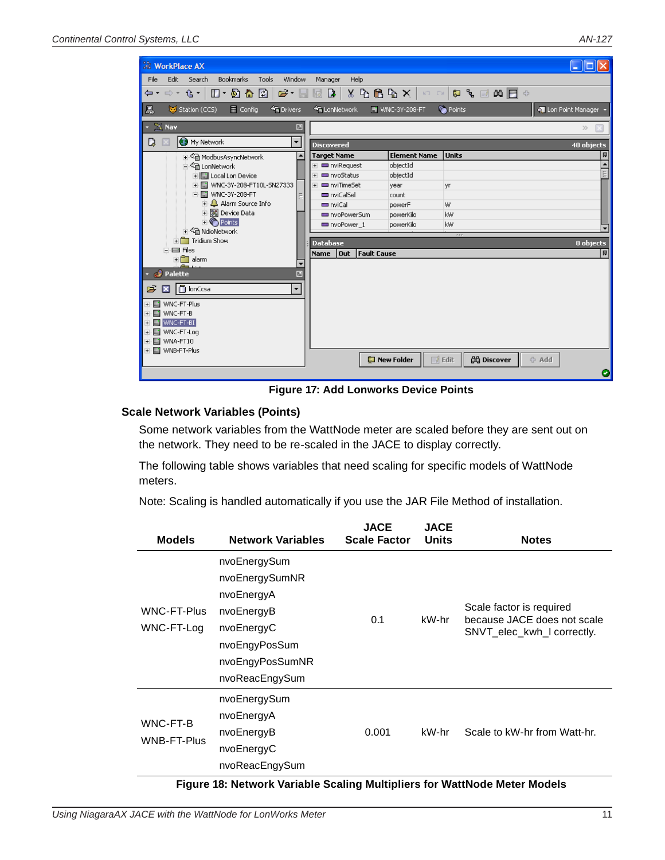<span id="page-10-0"></span>

| <b>E</b> WorkPlace AX                                         |                                            |                        |                                   |                            |
|---------------------------------------------------------------|--------------------------------------------|------------------------|-----------------------------------|----------------------------|
| Edit<br><b>Bookmarks</b><br>Search<br>Tools<br>Window<br>File | Manager<br><b>Help</b>                     |                        |                                   |                            |
| ⇔· ⇔· G·  □· 5} <mark>∆ Ø</mark>                              |                                            |                        |                                   |                            |
|                                                               |                                            |                        |                                   |                            |
| 鳯<br>$\equiv$ Config<br><b>Sig</b> Drivers<br>Station (CCS)   | <b>B</b> LonNetwork                        | <b>M</b> WNC-3Y-208-FT | C Points                          | <b>O</b> Lon Point Manager |
| $\times$ Nav<br>♬                                             |                                            |                        |                                   | $\gg$                      |
| My Network<br>D<br>▼                                          | <b>Discovered</b>                          |                        |                                   | 40 objects                 |
| i << <a> <sup>&lt; C</sup>in ModbusAsyncNetwork</a>           | <b>Target Name</b>                         | <b>Element Name</b>    | <b>Units</b>                      | 同                          |
| 白 <sup>心</sup> LonNetwork                                     | + <b>■</b> nviRequest                      | objectId               |                                   |                            |
| 由 <b>同</b> Local Lon Device                                   | + <b>■</b> nvoStatus                       | objectId               |                                   |                            |
| 中国 WNC-3Y-208-FT10L-SN27333                                   | <b>F</b> □ nviTimeSet                      | year                   | yr                                |                            |
| 白国 WNC-3Y-208-FT                                              | m nviCalSel                                | count                  |                                   |                            |
| + 4 Alarm Source Info                                         | m nviCal                                   | powerF                 | W                                 |                            |
| 由 88 Device Data                                              | nvoPowerSum                                | powerKilo              | kw                                |                            |
| $\textcolor{red}{\blacksquare}$ Points                        | nvoPower 1                                 | powerKilo              | kw                                |                            |
| 由 <sup>全</sup> NdioNetwork                                    |                                            |                        | $r \cdot r$                       |                            |
| $\mathbf{F}$ Tridium Show                                     | <b>Database</b>                            |                        |                                   | 0 objects                  |
| 白目 Files<br>$+$ alarm                                         | l Out<br><b>Fault Cause</b><br><b>Name</b> |                        |                                   | 甲                          |
| $\overline{\phantom{a}}$<br>æ.,                               |                                            |                        |                                   |                            |
| <b>Palette</b><br>◪                                           |                                            |                        |                                   |                            |
| <b>O</b> lonCcsa<br>Ê<br>$\mathbf{x}$<br>٠                    |                                            |                        |                                   |                            |
|                                                               |                                            |                        |                                   |                            |
| ⊞ WNC-FT-Plus                                                 |                                            |                        |                                   |                            |
| <b>M</b> WNC-FT-B<br>$+$                                      |                                            |                        |                                   |                            |
| WNC-FT-BI<br>m.<br>$+$                                        |                                            |                        |                                   |                            |
| MWNC-FT-Log<br>$+$                                            |                                            |                        |                                   |                            |
| WNA-FT10<br>$+$                                               |                                            |                        |                                   |                            |
| + liji WNB-FT-Plus                                            |                                            | New Folder             | <b>AA</b> Discover<br>$\Box$ Edit | ← Add                      |
|                                                               |                                            |                        |                                   |                            |
|                                                               |                                            |                        |                                   | Θ                          |

<span id="page-10-1"></span>**Figure 17: Add Lonworks Device Points**

### **Scale Network Variables (Points)**

Some network variables from the WattNode meter are scaled before they are sent out on the network. They need to be re-scaled in the JACE to display correctly.

The following table shows variables that need scaling for specific models of WattNode meters.

Note: Scaling is handled automatically if you use the JAR File Method of installation.

| <b>Models</b>                    | <b>Network Variables</b>                                                                                                       | <b>JACE</b><br><b>Scale Factor</b> | <b>JACE</b><br><b>Units</b> | <b>Notes</b>                                                                          |
|----------------------------------|--------------------------------------------------------------------------------------------------------------------------------|------------------------------------|-----------------------------|---------------------------------------------------------------------------------------|
| <b>WNC-FT-Plus</b><br>WNC-FT-Log | nvoEnergySum<br>nvoEnergySumNR<br>nvoEnergyA<br>nvoEnergyB<br>nvoEnergyC<br>nvoEngyPosSum<br>nvoEngyPosSumNR<br>nvoReacEngySum | 0.1                                | kW-hr                       | Scale factor is required<br>because JACE does not scale<br>SNVT_elec_kwh_I correctly. |
| WNC-FT-B<br><b>WNB-FT-Plus</b>   | nvoEnergySum<br>nvoEnergyA<br>nvoEnergyB<br>nvoEnergyC<br>nvoReacEngySum                                                       | 0.001                              | kW-hr                       | Scale to kW-hr from Watt-hr.                                                          |

**Figure 18: Network Variable Scaling Multipliers for WattNode Meter Models**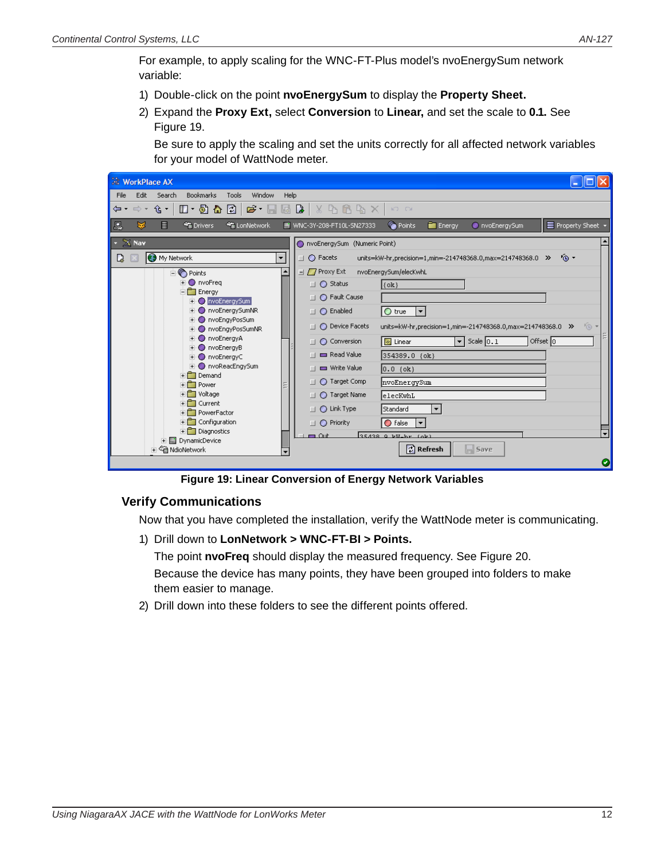<span id="page-11-0"></span>For example, to apply scaling for the WNC-FT-Plus model's nvoEnergySum network variable:

- 1) Double-click on the point **nvoEnergySum** to display the **Property Sheet.**
- 2) Expand the **Proxy Ext,** select **Conversion** to **Linear,** and set the scale to **0.1.** See [Figure 19.](#page-11-2)

Be sure to apply the scaling and set the units correctly for all affected network variables for your model of WattNode meter.

| <b>WorkPlace AX</b>                                                                                                                                                                                                                                                        |                                                                                                                                                                                                                                                                                                                                                                                                                                |
|----------------------------------------------------------------------------------------------------------------------------------------------------------------------------------------------------------------------------------------------------------------------------|--------------------------------------------------------------------------------------------------------------------------------------------------------------------------------------------------------------------------------------------------------------------------------------------------------------------------------------------------------------------------------------------------------------------------------|
| <b>Bookmarks</b><br>File<br>Edit<br>Search<br>Tools<br>Window                                                                                                                                                                                                              | Help                                                                                                                                                                                                                                                                                                                                                                                                                           |
| 企▼<br>$\mathbf{B} \cdot \mathbf{B}$<br>$\Box$ + $\Box$ + $\Box$<br>$\Box$<br>$\Rightarrow$ $\rightarrow$<br>⇔ ≁                                                                                                                                                            | $\boxtimes$ $\boxtimes$<br>$X$ $A$ $B$ $B$ $X$<br>$\begin{array}{cc} \mathbf{K} \mathbf{I} & \mathbf{C} \mathbf{M} \end{array}$                                                                                                                                                                                                                                                                                                |
| 廖<br>鳳<br>目<br><b>Min</b> Drivers<br><b>**</b> LonNetwork                                                                                                                                                                                                                  | C Points<br>E Property Sheet +<br>M WNC-3Y-208-FT10L-SN27333<br><b>Ell</b> Energy<br>nvoEnergySum                                                                                                                                                                                                                                                                                                                              |
| $\star \; \underline{\mathbb{X}}$ Nav                                                                                                                                                                                                                                      | nvoEnergySum (Numeric Point)                                                                                                                                                                                                                                                                                                                                                                                                   |
| My Network<br>$\blacktriangledown$<br>L)                                                                                                                                                                                                                                   | $\circ$<br>$\Box$ $\bigcirc$ Facets<br>units=kW-hr,precision=1,min=-214748368.0,max=214748368.0 >>                                                                                                                                                                                                                                                                                                                             |
| $\blacktriangle$<br><b>D</b> Points<br><b>ii</b> ● nvoFreq<br>ĖĤ<br>Energy<br>O nvoEnergySum<br>nvoEnergySumNR<br>$\circ$<br>nvoEngyPosSum<br>nvoEngyPosSumNR<br>nvoEnergyA<br>o<br>nvoEnergyB<br>O<br>nvoEnergyC<br>$\circ$<br>O nvoReacEngySum<br>Fi <sup>n</sup> Demand | $\Box$ $\Box$ Proxy Ext<br>nvoEnergySum/elecKwhL<br>$\Box$ $\bigcirc$ Status<br>$\{ok\}$<br>◯ Fault Cause<br>$\Box$<br>$\bigcirc$ true<br>◯ Enabled<br>E<br>$\Box$<br>$6 -$<br>◯ Device Facets<br>units=kW-hr,precision=1,min=-214748368.0,max=214748368.0 >><br>$\blacktriangledown$ Scale $\boxed{0.1}$<br>Offset $\boxed{0}$<br>$ $ Linear<br>◯ Conversion<br>п<br>Read Value<br>354389.0 (ok)<br>Write Value<br>$0.0$ (ok) |
| $\overline{+}$ Power<br>+ <sup>1</sup> Voltage<br>$+$ $-$<br>Current<br>File PowerFactor<br>$\overline{+}\overline{\phantom{a}}$ Configuration<br>$\overline{+}$ Diagnostics<br><b>in</b> DynamicDevice<br>in < a NdioNetwork                                              | ◯ Target Comp<br> nvoEnergySum<br>п<br>◯ Target Name<br>elecKwhL<br>п<br>$\bigcirc$ Link Type<br>Standard<br>$\blacktriangledown$<br>$\Box$<br>$\bigcirc$ false<br>$\Box$ $\bigcirc$ Priority<br>$\overline{\phantom{0}}$<br>$\overline{\phantom{a}}$<br>$35438$ $9$ $b$ $b$ $b$ $b$ $r$ $(b)$<br>$-$ Out<br>$\left  \vec{x} \right $ Refresh<br>$\Box$ Save<br>Θ                                                              |

<span id="page-11-2"></span><span id="page-11-1"></span>**Figure 19: Linear Conversion of Energy Network Variables**

## **Verify Communications**

Now that you have completed the installation, verify the WattNode meter is communicating.

1) Drill down to **LonNetwork > WNC-FT-BI > Points.**

The point **nvoFreq** should display the measured frequency. See [Figure 20](#page-12-1).

Because the device has many points, they have been grouped into folders to make them easier to manage.

2) Drill down into these folders to see the different points offered.